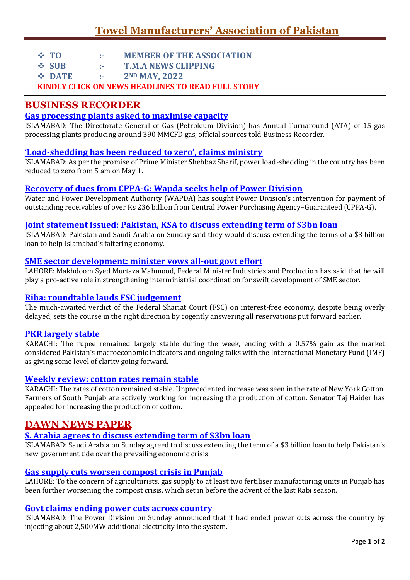- **TO :- MEMBER OF THE ASSOCIATION**
- **SUB :- T.M.A NEWS CLIPPING**
- **DATE :- 2ND MAY, 2022**

**KINDLY CLICK ON NEWS HEADLINES TO READ FULL STORY**

# **BUSINESS RECORDER**

### **[Gas processing plants asked to maximise capacity](https://epaper.brecorder.com/2022/05/02/1-page/928247-news.html)**

ISLAMABAD: The Directorate General of Gas (Petroleum Division) has Annual Turnaround (ATA) of 15 gas processing plants producing around 390 MMCFD gas, official sources told Business Recorder.

### **'Load-[shedding has been reduced to zero', claims ministry](https://epaper.brecorder.com/2022/05/02/1-page/928248-news.html)**

ISLAMABAD: As per the promise of Prime Minister Shehbaz Sharif, power load-shedding in the country has been reduced to zero from 5 am on May 1.

### **[Recovery of dues from CPPA-G: Wapda seeks help of Power Division](https://epaper.brecorder.com/2022/05/02/1-page/928249-news.html)**

Water and Power Development Authority (WAPDA) has sought Power Division's intervention for payment of outstanding receivables of over Rs 236 billion from Central Power Purchasing Agency–Guaranteed (CPPA-G).

### **[Joint statement issued: Pakistan, KSA to discuss extending term of \\$3bn loan](https://epaper.brecorder.com/2022/05/02/1-page/928246-news.html)**

ISLAMABAD: Pakistan and Saudi Arabia on Sunday said they would discuss extending the terms of a \$3 billion loan to help Islamabad's faltering economy.

### **[SME sector development: minister vows all-out govt effort](https://epaper.brecorder.com/2022/05/02/9-page/928305-news.html)**

LAHORE: Makhdoom Syed Murtaza Mahmood, Federal Minister Industries and Production has said that he will play a pro-active role in strengthening interministrial coordination for swift development of SME sector.

### **[Riba: roundtable lauds FSC judgement](https://epaper.brecorder.com/2022/05/02/9-page/928312-news.html)**

The much-awaited verdict of the Federal Shariat Court (FSC) on interest-free economy, despite being overly delayed, sets the course in the right direction by cogently answering all reservations put forward earlier.

### **[PKR largely stable](https://epaper.brecorder.com/2022/05/02/8-page/928294-news.html)**

KARACHI: The rupee remained largely stable during the week, ending with a 0.57% gain as the market considered Pakistan's macroeconomic indicators and ongoing talks with the International Monetary Fund (IMF) as giving some level of clarity going forward.

### **[Weekly review: cotton rates remain stable](https://epaper.brecorder.com/2022/05/02/3-page/928263-news.html)**

KARACHI: The rates of cotton remained stable. Unprecedented increase was seen in the rate of New York Cotton. Farmers of South Punjab are actively working for increasing the production of cotton. Senator Taj Haider has appealed for increasing the production of cotton.

## **DAWN NEWS PAPER**

### **[S. Arabia agrees to discuss extending term of \\$3bn loan](https://www.dawn.com/news/1687853/s-arabia-agrees-to-discuss-extending-term-of-3bn-loan)**

ISLAMABAD: Saudi Arabia on Sunday agreed to discuss extending the term of a \$3 billion loan to help Pakistan's new government tide over the prevailing economic crisis.

### **[Gas supply cuts worsen compost crisis in Punjab](https://www.dawn.com/news/1687847)**

LAHORE: To the concern of agriculturists, gas supply to at least two fertiliser manufacturing units in Punjab has been further worsening the compost crisis, which set in before the advent of the last Rabi season.

### **[Govt claims ending power cuts across country](https://www.dawn.com/news/1687843)**

ISLAMABAD: The Power Division on Sunday announced that it had ended power cuts across the country by injecting about 2,500MW additional electricity into the system.